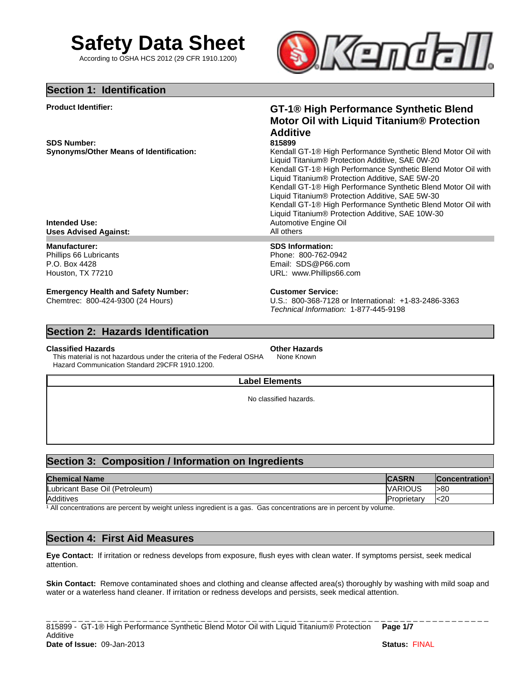

According to OSHA HCS 2012 (29 CFR 1910.1200)



## **Section 1: Identification**

**Product Identifier:**

**SDS Number:**

# **GT-1® High Performance Synthetic Blend Motor Oil with Liquid Titanium® Protection Additive**

### **815899**

**Synonyms/Other Means of Identification:** Kendall GT-1® High Performance Synthetic Blend Motor Oil with Liquid Titanium® Protection Additive, SAE 0W-20 Kendall GT-1® High Performance Synthetic Blend Motor Oil with Liquid Titanium® Protection Additive, SAE 5W-20 Kendall GT-1® High Performance Synthetic Blend Motor Oil with Liquid Titanium® Protection Additive, SAE 5W-30 Kendall GT-1® High Performance Synthetic Blend Motor Oil with Liquid Titanium® Protection Additive, SAE 10W-30 Automotive Engine Oil

**Intended Use: Uses Advised Against:** 

## **Manufacturer:**

Phillips 66 Lubricants P.O. Box 4428 Houston, TX 77210

# **Emergency Health and Safety Number:**

Chemtrec: 800-424-9300 (24 Hours)

# **SDS Information:**

Phone: 800-762-0942 Email: SDS@P66.com URL: www.Phillips66.com

## **Customer Service:**

*Technical Information:* 1-877-445-9198 U.S.: 800-368-7128 or International: +1-83-2486-3363

# **Section 2: Hazards Identification**

## **Classified Hazards**

This material is not hazardous under the criteria of the Federal OSHA Hazard Communication Standard 29CFR 1910.1200.

# **Other Hazards**

None Known

## **Label Elements**

No classified hazards.

# **Section 3: Composition / Information on Ingredients**

| <b>Chemical Name</b>              | <b>CASRN</b>       | <b>Concentration<sup>1</sup></b> |
|-----------------------------------|--------------------|----------------------------------|
| (Petroleum)<br>Lubricant Base Oil | VARIOUS            | l>80                             |
| Additives                         | <b>Proprietary</b> | k20                              |

<sup>1</sup> All concentrations are percent by weight unless ingredient is a gas. Gas concentrations are in percent by volume.

# **Section 4: First Aid Measures**

**Eye Contact:** If irritation or redness develops from exposure, flush eyes with clean water. If symptoms persist, seek medical attention.

**Skin Contact:** Remove contaminated shoes and clothing and cleanse affected area(s) thoroughly by washing with mild soap and water or a waterless hand cleaner. If irritation or redness develops and persists, seek medical attention.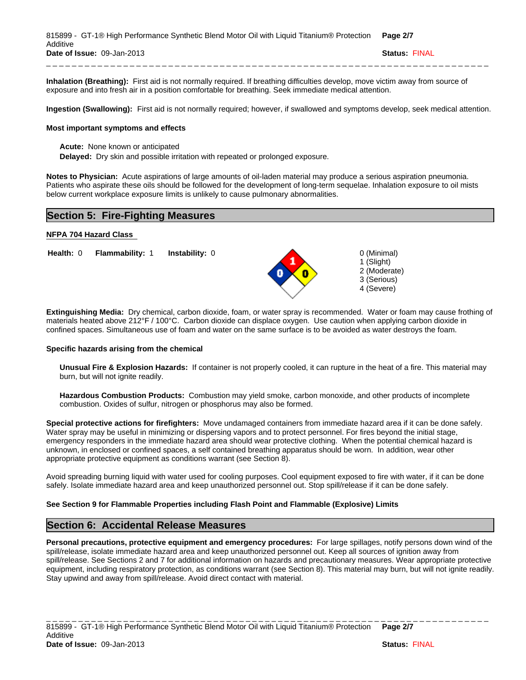| 815899 - GT-1® High Performance Synthetic Blend Motor Oil with Liguid Titanium® Protection Page 2/7 |                      |
|-----------------------------------------------------------------------------------------------------|----------------------|
| Additive                                                                                            |                      |
| Date of Issue: 09-Jan-2013                                                                          | <b>Status: FINAL</b> |
|                                                                                                     |                      |

**Inhalation (Breathing):** First aid is not normally required. If breathing difficulties develop, move victim away from source of exposure and into fresh air in a position comfortable for breathing. Seek immediate medical attention.

**Ingestion (Swallowing):** First aid is not normally required; however, if swallowed and symptoms develop, seek medical attention.

#### **Most important symptoms and effects**

**Acute:** None known or anticipated

**Delayed:** Dry skin and possible irritation with repeated or prolonged exposure.

**Notes to Physician:** Acute aspirations of large amounts of oil-laden material may produce a serious aspiration pneumonia. Patients who aspirate these oils should be followed for the development of long-term sequelae. Inhalation exposure to oil mists below current workplace exposure limits is unlikely to cause pulmonary abnormalities.

# **Section 5: Fire-Fighting Measures**

### **NFPA 704 Hazard Class**

**Figure 1 Flammability: 1 Instability: 0 0 0 (Minimal) Instability:** 0



1 (Slight) 2 (Moderate) 3 (Serious) 4 (Severe)

#### **Specific hazards arising from the chemical**

**Unusual Fire & Explosion Hazards:** If container is not properly cooled, it can rupture in the heat of a fire. This material may burn, but will not ignite readily.

**Hazardous Combustion Products:** Combustion may yield smoke, carbon monoxide, and other products of incomplete combustion. Oxides of sulfur, nitrogen or phosphorus may also be formed.

**Special protective actions for firefighters:** Move undamaged containers from immediate hazard area if it can be done safely. Water spray may be useful in minimizing or dispersing vapors and to protect personnel. For fires beyond the initial stage, emergency responders in the immediate hazard area should wear protective clothing. When the potential chemical hazard is unknown, in enclosed or confined spaces, a self contained breathing apparatus should be worn. In addition, wear other appropriate protective equipment as conditions warrant (see Section 8).

Avoid spreading burning liquid with water used for cooling purposes. Cool equipment exposed to fire with water, if it can be done safely. Isolate immediate hazard area and keep unauthorized personnel out. Stop spill/release if it can be done safely.

## **See Section 9 for Flammable Properties including Flash Point and Flammable (Explosive) Limits**

## **Section 6: Accidental Release Measures**

**Personal precautions, protective equipment and emergency procedures:** For large spillages, notify persons down wind of the spill/release, isolate immediate hazard area and keep unauthorized personnel out. Keep all sources of ignition away from spill/release. See Sections 2 and 7 for additional information on hazards and precautionary measures. Wear appropriate protective equipment, including respiratory protection, as conditions warrant (see Section 8). This material may burn, but will not ignite readily. Stay upwind and away from spill/release. Avoid direct contact with material.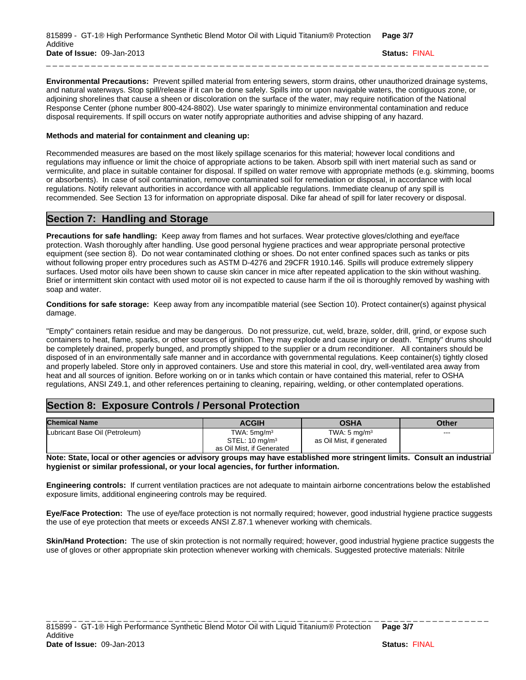| 815899 - GT-1® High Performance Synthetic Blend Motor Oil with Liquid Titanium® Protection | Page 3/7             |
|--------------------------------------------------------------------------------------------|----------------------|
| Additive                                                                                   |                      |
| Date of Issue: 09-Jan-2013                                                                 | <b>Status: FINAL</b> |
|                                                                                            |                      |

**Environmental Precautions:** Prevent spilled material from entering sewers, storm drains, other unauthorized drainage systems, and natural waterways. Stop spill/release if it can be done safely. Spills into or upon navigable waters, the contiguous zone, or adjoining shorelines that cause a sheen or discoloration on the surface of the water, may require notification of the National Response Center (phone number 800-424-8802). Use water sparingly to minimize environmental contamination and reduce disposal requirements. If spill occurs on water notify appropriate authorities and advise shipping of any hazard.

### **Methods and material for containment and cleaning up:**

Recommended measures are based on the most likely spillage scenarios for this material; however local conditions and regulations may influence or limit the choice of appropriate actions to be taken. Absorb spill with inert material such as sand or vermiculite, and place in suitable container for disposal. If spilled on water remove with appropriate methods (e.g. skimming, booms or absorbents). In case of soil contamination, remove contaminated soil for remediation or disposal, in accordance with local regulations. Notify relevant authorities in accordance with all applicable regulations. Immediate cleanup of any spill is recommended. See Section 13 for information on appropriate disposal. Dike far ahead of spill for later recovery or disposal.

# **Section 7: Handling and Storage**

**Precautions for safe handling:** Keep away from flames and hot surfaces. Wear protective gloves/clothing and eye/face protection. Wash thoroughly after handling. Use good personal hygiene practices and wear appropriate personal protective equipment (see section 8). Do not wear contaminated clothing or shoes. Do not enter confined spaces such as tanks or pits without following proper entry procedures such as ASTM D-4276 and 29CFR 1910.146. Spills will produce extremely slippery surfaces. Used motor oils have been shown to cause skin cancer in mice after repeated application to the skin without washing. Brief or intermittent skin contact with used motor oil is not expected to cause harm if the oil is thoroughly removed by washing with soap and water.

**Conditions for safe storage:** Keep away from any incompatible material (see Section 10). Protect container(s) against physical damage.

"Empty" containers retain residue and may be dangerous. Do not pressurize, cut, weld, braze, solder, drill, grind, or expose such containers to heat, flame, sparks, or other sources of ignition. They may explode and cause injury or death. "Empty" drums should be completely drained, properly bunged, and promptly shipped to the supplier or a drum reconditioner. All containers should be disposed of in an environmentally safe manner and in accordance with governmental regulations. Keep container(s) tightly closed and properly labeled. Store only in approved containers. Use and store this material in cool, dry, well-ventilated area away from heat and all sources of ignition. Before working on or in tanks which contain or have contained this material, refer to OSHA regulations, ANSI Z49.1, and other references pertaining to cleaning, repairing, welding, or other contemplated operations.

# **Section 8: Exposure Controls / Personal Protection**

| <b>Chemical Name</b>           | <b>ACGIH</b>              | <b>OSHA</b>               | Other |
|--------------------------------|---------------------------|---------------------------|-------|
| Lubricant Base Oil (Petroleum) | TWA: $5mg/m3$             | TWA: $5 \text{ mg/m}^3$   | ---   |
|                                | STEL: $10 \text{ ma/m}^3$ | as Oil Mist, if generated |       |
|                                | as Oil Mist, if Generated |                           |       |

**Note: State, local or other agencies or advisory groups may have established more stringent limits. Consult an industrial hygienist or similar professional, or your local agencies, for further information.**

**Engineering controls:** If current ventilation practices are not adequate to maintain airborne concentrations below the established exposure limits, additional engineering controls may be required.

**Eye/Face Protection:** The use of eye/face protection is not normally required; however, good industrial hygiene practice suggests the use of eye protection that meets or exceeds ANSI Z.87.1 whenever working with chemicals.

**Skin/Hand Protection:** The use of skin protection is not normally required; however, good industrial hygiene practice suggests the use of gloves or other appropriate skin protection whenever working with chemicals. Suggested protective materials: Nitrile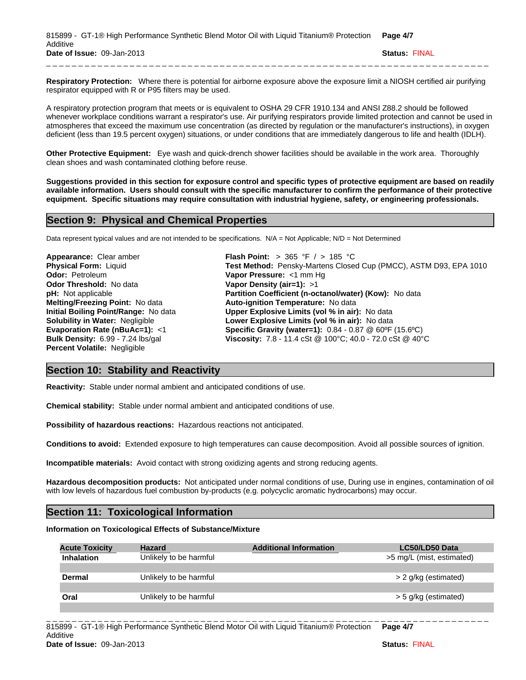| 815899 - GT-1® High Performance Synthetic Blend Motor Oil with Liquid Titanium® Protection | Page 4/7             |
|--------------------------------------------------------------------------------------------|----------------------|
| Additive                                                                                   |                      |
| Date of Issue: 09-Jan-2013                                                                 | <b>Status: FINAL</b> |
|                                                                                            |                      |

**Respiratory Protection:** Where there is potential for airborne exposure above the exposure limit a NIOSH certified air purifying respirator equipped with R or P95 filters may be used.

A respiratory protection program that meets or is equivalent to OSHA 29 CFR 1910.134 and ANSI Z88.2 should be followed whenever workplace conditions warrant a respirator's use. Air purifying respirators provide limited protection and cannot be used in atmospheres that exceed the maximum use concentration (as directed by regulation or the manufacturer's instructions), in oxygen deficient (less than 19.5 percent oxygen) situations, or under conditions that are immediately dangerous to life and health (IDLH).

**Other Protective Equipment:** Eye wash and quick-drench shower facilities should be available in the work area. Thoroughly clean shoes and wash contaminated clothing before reuse.

**Suggestions provided in this section for exposure control and specific types of protective equipment are based on readily available information. Users should consult with the specific manufacturer to confirm the performance of their protective equipment. Specific situations may require consultation with industrial hygiene, safety, or engineering professionals.**

## **Section 9: Physical and Chemical Properties**

Data represent typical values and are not intended to be specifications. N/A = Not Applicable; N/D = Not Determined

**Evaporation Rate (nBuAc=1):** <1 **pH:** Not applicable **Odor:** Petroleum **Solubility in Water:** Negligible **Bulk Density:** 6.99 - 7.24 lbs/gal **Physical Form:** Liquid **Appearance:** Clear amber **Initial Boiling Point/Range:** No data **Odor Threshold:** No data **Melting/Freezing Point:** No data **Percent Volatile:** Negligible

**Upper Explosive Limits (vol % in air):** No data **Vapor Pressure:** <1 mm Hg **Specific Gravity (water=1):** 0.84 - 0.87 @ 60ºF (15.6ºC) **Flash Point:** > 365 °F / > 185 °C **Auto-ignition Temperature:** No data **Vapor Density (air=1):** >1 **Partition Coefficient (n-octanol/water) (Kow):** No data **Lower Explosive Limits (vol % in air):** No data **Viscosity:** 7.8 - 11.4 cSt @ 100°C; 40.0 - 72.0 cSt @ 40°C **Test Method:** Pensky-Martens Closed Cup (PMCC), ASTM D93, EPA 1010

## **Section 10: Stability and Reactivity**

**Reactivity:** Stable under normal ambient and anticipated conditions of use.

**Chemical stability:** Stable under normal ambient and anticipated conditions of use.

**Possibility of hazardous reactions:** Hazardous reactions not anticipated.

**Conditions to avoid:** Extended exposure to high temperatures can cause decomposition. Avoid all possible sources of ignition.

**Incompatible materials:** Avoid contact with strong oxidizing agents and strong reducing agents.

**Hazardous decomposition products:** Not anticipated under normal conditions of use, During use in engines, contamination of oil with low levels of hazardous fuel combustion by-products (e.g. polycyclic aromatic hydrocarbons) may occur.

# **Section 11: Toxicological Information**

### **Information on Toxicological Effects of Substance/Mixture**

| <b>Acute Toxicity</b> | <b>Hazard</b>          | <b>Additional Information</b> | LC50/LD50 Data            |
|-----------------------|------------------------|-------------------------------|---------------------------|
| <b>Inhalation</b>     | Unlikely to be harmful |                               | >5 mg/L (mist, estimated) |
|                       |                        |                               |                           |
| Dermal                | Unlikely to be harmful |                               | > 2 g/kg (estimated)      |
|                       |                        |                               |                           |
| Oral                  | Unlikely to be harmful |                               | > 5 g/kg (estimated)      |
|                       |                        |                               |                           |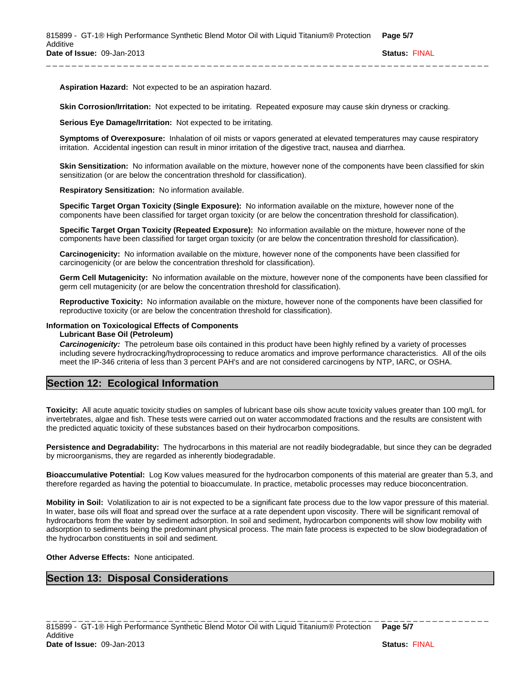**Aspiration Hazard:** Not expected to be an aspiration hazard.

**Skin Corrosion/Irritation:** Not expected to be irritating. Repeated exposure may cause skin dryness or cracking.

**Serious Eye Damage/Irritation:** Not expected to be irritating.

**Symptoms of Overexposure:** Inhalation of oil mists or vapors generated at elevated temperatures may cause respiratory irritation. Accidental ingestion can result in minor irritation of the digestive tract, nausea and diarrhea.

**Skin Sensitization:** No information available on the mixture, however none of the components have been classified for skin sensitization (or are below the concentration threshold for classification).

**Respiratory Sensitization:** No information available.

**Specific Target Organ Toxicity (Single Exposure):** No information available on the mixture, however none of the components have been classified for target organ toxicity (or are below the concentration threshold for classification).

**Specific Target Organ Toxicity (Repeated Exposure):** No information available on the mixture, however none of the components have been classified for target organ toxicity (or are below the concentration threshold for classification).

**Carcinogenicity:** No information available on the mixture, however none of the components have been classified for carcinogenicity (or are below the concentration threshold for classification).

**Germ Cell Mutagenicity:** No information available on the mixture, however none of the components have been classified for germ cell mutagenicity (or are below the concentration threshold for classification).

**Reproductive Toxicity:** No information available on the mixture, however none of the components have been classified for reproductive toxicity (or are below the concentration threshold for classification).

## **Information on Toxicological Effects of Components**

**Lubricant Base Oil (Petroleum)**

*Carcinogenicity:* The petroleum base oils contained in this product have been highly refined by a variety of processes including severe hydrocracking/hydroprocessing to reduce aromatics and improve performance characteristics. All of the oils meet the IP-346 criteria of less than 3 percent PAH's and are not considered carcinogens by NTP, IARC, or OSHA.

# **Section 12: Ecological Information**

**Toxicity:** All acute aquatic toxicity studies on samples of lubricant base oils show acute toxicity values greater than 100 mg/L for invertebrates, algae and fish. These tests were carried out on water accommodated fractions and the results are consistent with the predicted aquatic toxicity of these substances based on their hydrocarbon compositions.

**Persistence and Degradability:** The hydrocarbons in this material are not readily biodegradable, but since they can be degraded by microorganisms, they are regarded as inherently biodegradable.

**Bioaccumulative Potential:** Log Kow values measured for the hydrocarbon components of this material are greater than 5.3, and therefore regarded as having the potential to bioaccumulate. In practice, metabolic processes may reduce bioconcentration.

**Mobility in Soil:** Volatilization to air is not expected to be a significant fate process due to the low vapor pressure of this material. In water, base oils will float and spread over the surface at a rate dependent upon viscosity. There will be significant removal of hydrocarbons from the water by sediment adsorption. In soil and sediment, hydrocarbon components will show low mobility with adsorption to sediments being the predominant physical process. The main fate process is expected to be slow biodegradation of the hydrocarbon constituents in soil and sediment.

\_ \_ \_ \_ \_ \_ \_ \_ \_ \_ \_ \_ \_ \_ \_ \_ \_ \_ \_ \_ \_ \_ \_ \_ \_ \_ \_ \_ \_ \_ \_ \_ \_ \_ \_ \_ \_ \_ \_ \_ \_ \_ \_ \_ \_ \_ \_ \_ \_ \_ \_ \_ \_ \_ \_ \_ \_ \_ \_ \_ \_ \_ \_ \_ \_ \_ \_ \_ \_

### **Other Adverse Effects:** None anticipated.

# **Section 13: Disposal Considerations**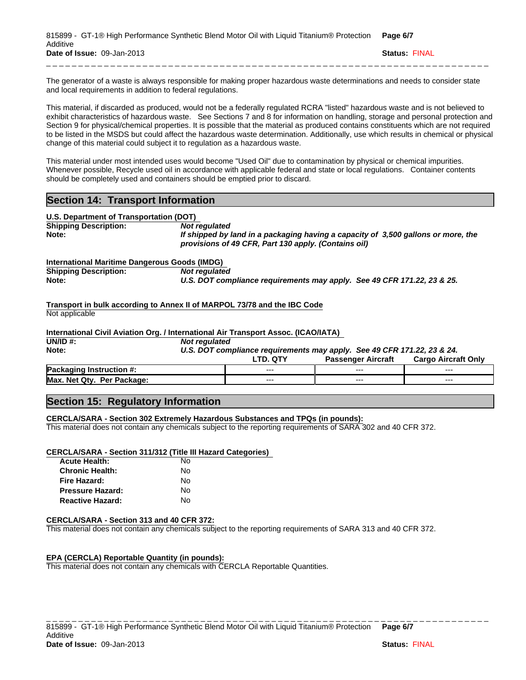| 815899 - GT-1® High Performance Synthetic Blend Motor Oil with Liquid Titanium® Protection Page 6/7 |                      |
|-----------------------------------------------------------------------------------------------------|----------------------|
| Additive                                                                                            |                      |
| Date of Issue: 09-Jan-2013                                                                          | <b>Status: FINAL</b> |
|                                                                                                     |                      |

The generator of a waste is always responsible for making proper hazardous waste determinations and needs to consider state and local requirements in addition to federal regulations.

This material, if discarded as produced, would not be a federally regulated RCRA "listed" hazardous waste and is not believed to exhibit characteristics of hazardous waste. See Sections 7 and 8 for information on handling, storage and personal protection and Section 9 for physical/chemical properties. It is possible that the material as produced contains constituents which are not required to be listed in the MSDS but could affect the hazardous waste determination. Additionally, use which results in chemical or physical change of this material could subject it to regulation as a hazardous waste.

This material under most intended uses would become "Used Oil" due to contamination by physical or chemical impurities. Whenever possible, Recycle used oil in accordance with applicable federal and state or local regulations. Container contents should be completely used and containers should be emptied prior to discard.

# **Section 14: Transport Information**

| U.S. Department of Transportation (DOT) |                                                                                                                                           |
|-----------------------------------------|-------------------------------------------------------------------------------------------------------------------------------------------|
| <b>Shipping Description:</b>            | Not reaulated                                                                                                                             |
| Note:                                   | If shipped by land in a packaging having a capacity of 3,500 gallons or more, the<br>provisions of 49 CFR, Part 130 apply. (Contains oil) |

### **International Maritime Dangerous Goods (IMDG)**

| <b>Shipping Description:</b> | Not regulated                                                           |
|------------------------------|-------------------------------------------------------------------------|
| Note:                        | U.S. DOT compliance requirements may apply. See 49 CFR 171.22, 23 & 25. |

**Transport in bulk according to Annex II of MARPOL 73/78 and the IBC Code** Not applicable

#### **International Civil Aviation Org. / International Air Transport Assoc. (ICAO/IATA)**

| UN/ID $#$ :                     | Not regulated                                                           |                 |                           |                            |
|---------------------------------|-------------------------------------------------------------------------|-----------------|---------------------------|----------------------------|
| Note:                           | U.S. DOT compliance requirements may apply. See 49 CFR 171.22, 23 & 24. |                 |                           |                            |
|                                 |                                                                         | <b>LTD. QTY</b> | <b>Passenger Aircraft</b> | <b>Cargo Aircraft Only</b> |
| <b>Packaging Instruction #:</b> |                                                                         | $- - -$         | $---$                     | $--$                       |
| Max. Net Qty. Per Package:      |                                                                         | $--$            | $- - -$                   | $--$                       |

## **Section 15: Regulatory Information**

## **CERCLA/SARA - Section 302 Extremely Hazardous Substances and TPQs (in pounds):**

This material does not contain any chemicals subject to the reporting requirements of SARA 302 and 40 CFR 372.

## **CERCLA/SARA - Section 311/312 (Title III Hazard Categories)**

| <b>Acute Health:</b>    | N٥ |
|-------------------------|----|
| <b>Chronic Health:</b>  | N٥ |
| Fire Hazard:            | N٥ |
| <b>Pressure Hazard:</b> | N٥ |
| <b>Reactive Hazard:</b> | N٥ |

#### **CERCLA/SARA - Section 313 and 40 CFR 372:**

This material does not contain any chemicals subject to the reporting requirements of SARA 313 and 40 CFR 372.

## **EPA (CERCLA) Reportable Quantity (in pounds):**

This material does not contain any chemicals with CERCLA Reportable Quantities.